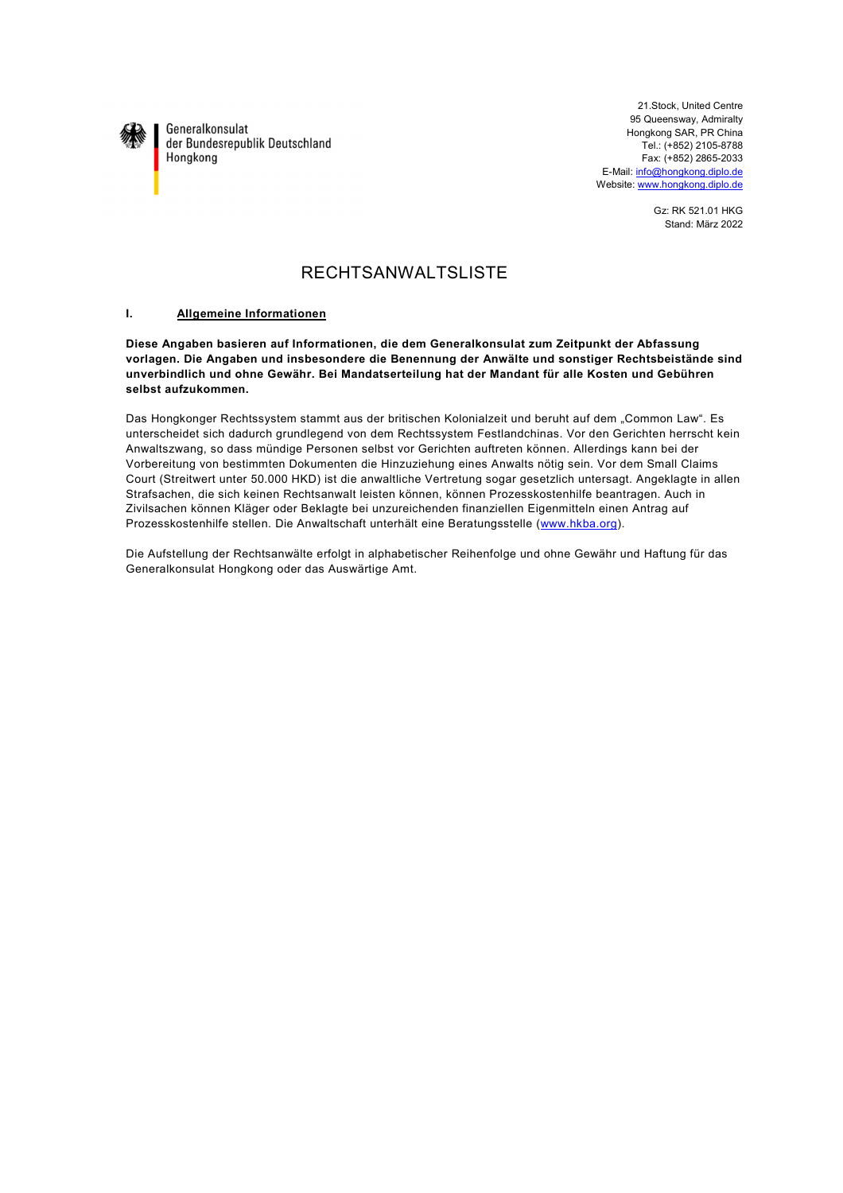

Generalkonsulat der Bundesrepublik Deutschland Hongkong

21.Stock, United Centre 95 Queensway, Admiralty Hongkong SAR, PR China Tel.: (+852) 2105-8788 Fax: (+852) 2865-2033 E-Mail: info@hongkong.diplo.de Website: www.hongkong.diplo.de

> Gz: RK 521.01 HKG Stand: März 2022

# RECHTSANWALTSLISTE

## **I. Allgemeine Informationen**

**Diese Angaben basieren auf Informationen, die dem Generalkonsulat zum Zeitpunkt der Abfassung vorlagen. Die Angaben und insbesondere die Benennung der Anwälte und sonstiger Rechtsbeistände sind unverbindlich und ohne Gewähr. Bei Mandatserteilung hat der Mandant für alle Kosten und Gebühren selbst aufzukommen.**

Das Hongkonger Rechtssystem stammt aus der britischen Kolonialzeit und beruht auf dem "Common Law". Es unterscheidet sich dadurch grundlegend von dem Rechtssystem Festlandchinas. Vor den Gerichten herrscht kein Anwaltszwang, so dass mündige Personen selbst vor Gerichten auftreten können. Allerdings kann bei der Vorbereitung von bestimmten Dokumenten die Hinzuziehung eines Anwalts nötig sein. Vor dem Small Claims Court (Streitwert unter 50.000 HKD) ist die anwaltliche Vertretung sogar gesetzlich untersagt. Angeklagte in allen Strafsachen, die sich keinen Rechtsanwalt leisten können, können Prozesskostenhilfe beantragen. Auch in Zivilsachen können Kläger oder Beklagte bei unzureichenden finanziellen Eigenmitteln einen Antrag auf Prozesskostenhilfe stellen. Die Anwaltschaft unterhält eine Beratungsstelle (www.hkba.org).

Die Aufstellung der Rechtsanwälte erfolgt in alphabetischer Reihenfolge und ohne Gewähr und Haftung für das Generalkonsulat Hongkong oder das Auswärtige Amt.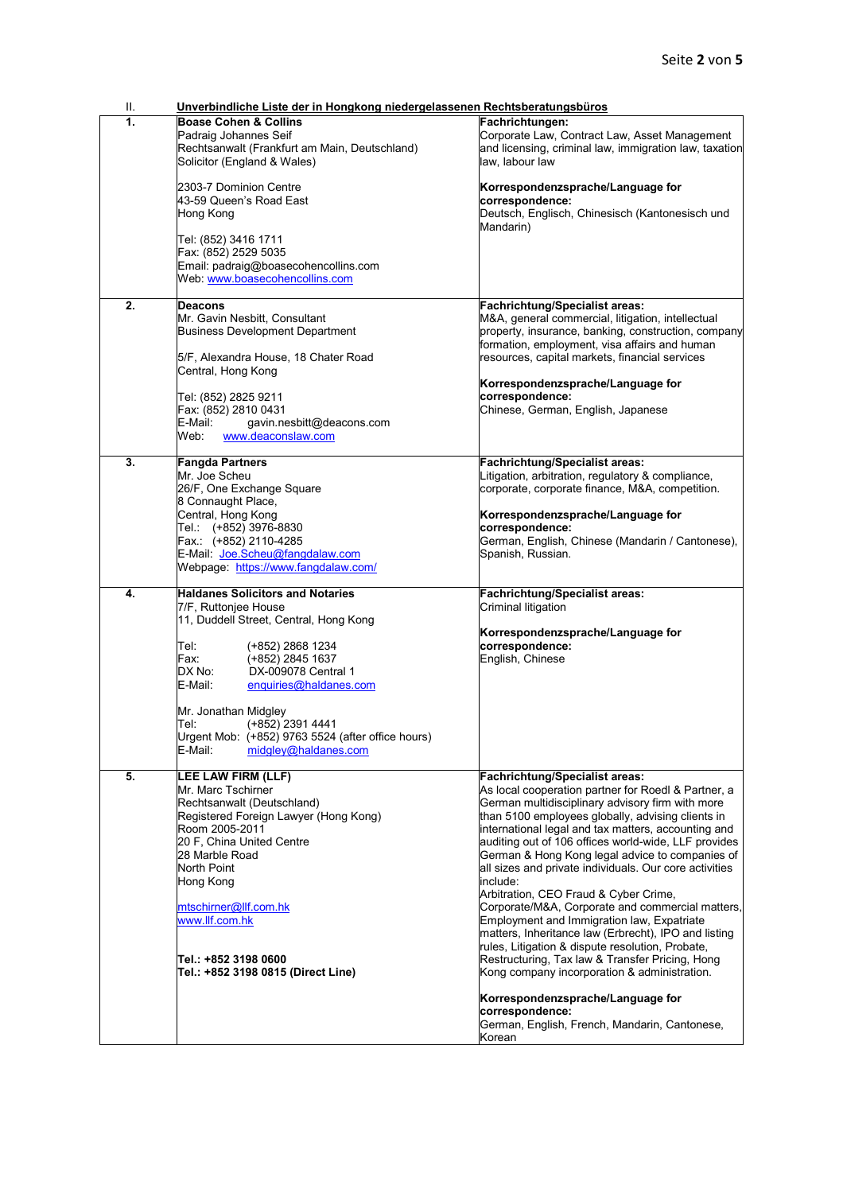| ΙΙ. | Unverbindliche Liste der in Hongkong niedergelassenen Rechtsberatungsbüros                                                                                                                                                                                                                                                                                                          |                                                                                                                                                                                                                                                                                                                                                                                                                                                                                                                                                                                                                                                                                                                                                                                                                                                                                                                     |  |
|-----|-------------------------------------------------------------------------------------------------------------------------------------------------------------------------------------------------------------------------------------------------------------------------------------------------------------------------------------------------------------------------------------|---------------------------------------------------------------------------------------------------------------------------------------------------------------------------------------------------------------------------------------------------------------------------------------------------------------------------------------------------------------------------------------------------------------------------------------------------------------------------------------------------------------------------------------------------------------------------------------------------------------------------------------------------------------------------------------------------------------------------------------------------------------------------------------------------------------------------------------------------------------------------------------------------------------------|--|
| 1.  | <b>Boase Cohen &amp; Collins</b><br>Padraig Johannes Seif<br>Rechtsanwalt (Frankfurt am Main, Deutschland)<br>Solicitor (England & Wales)<br>2303-7 Dominion Centre<br>43-59 Queen's Road East<br>Hong Kong<br>Tel: (852) 3416 1711<br>Fax: (852) 2529 5035<br>Email: padraig@boasecohencollins.com<br>Web: www.boasecohencollins.com                                               | Fachrichtungen:<br>Corporate Law, Contract Law, Asset Management<br>and licensing, criminal law, immigration law, taxation<br>law, labour law<br>Korrespondenzsprache/Language for<br>correspondence:<br>Deutsch, Englisch, Chinesisch (Kantonesisch und<br>Mandarin)                                                                                                                                                                                                                                                                                                                                                                                                                                                                                                                                                                                                                                               |  |
| 2.  | Deacons<br>Mr. Gavin Nesbitt, Consultant<br><b>Business Development Department</b><br>5/F, Alexandra House, 18 Chater Road<br>Central, Hong Kong<br>Tel: (852) 2825 9211<br>Fax: (852) 2810 0431<br>gavin.nesbitt@deacons.com<br>E-Mail:<br>www.deaconslaw.com<br>Web:                                                                                                              | <b>Fachrichtung/Specialist areas:</b><br>M&A, general commercial, litigation, intellectual<br>property, insurance, banking, construction, company<br>formation, employment, visa affairs and human<br>resources, capital markets, financial services<br>Korrespondenzsprache/Language for<br>correspondence:<br>Chinese, German, English, Japanese                                                                                                                                                                                                                                                                                                                                                                                                                                                                                                                                                                  |  |
| 3.  | <b>Fangda Partners</b><br>Mr. Joe Scheu<br>26/F, One Exchange Square<br>8 Connaught Place,<br>Central, Hong Kong<br>Tel.: (+852) 3976-8830<br>Fax.: (+852) 2110-4285<br>E-Mail: Joe.Scheu@fangdalaw.com<br>Webpage: https://www.fangdalaw.com/                                                                                                                                      | Fachrichtung/Specialist areas:<br>Litigation, arbitration, regulatory & compliance,<br>corporate, corporate finance, M&A, competition.<br>Korrespondenzsprache/Language for<br>correspondence:<br>German, English, Chinese (Mandarin / Cantonese),<br>Spanish, Russian.                                                                                                                                                                                                                                                                                                                                                                                                                                                                                                                                                                                                                                             |  |
| 4.  | <b>Haldanes Solicitors and Notaries</b><br>7/F, Ruttonjee House<br>11, Duddell Street, Central, Hong Kong<br>Tel:<br>(+852) 2868 1234<br>Fax:<br>(+852) 2845 1637<br>DX No:<br>DX-009078 Central 1<br>E-Mail:<br>enquiries@haldanes.com<br>Mr. Jonathan Midgley<br>(+852) 2391 4441<br>Tel:<br>Urgent Mob: (+852) 9763 5524 (after office hours)<br>midgley@haldanes.com<br>E-Mail: | <b>Fachrichtung/Specialist areas:</b><br>Criminal litigation<br>Korrespondenzsprache/Language for<br>correspondence:<br>English, Chinese                                                                                                                                                                                                                                                                                                                                                                                                                                                                                                                                                                                                                                                                                                                                                                            |  |
| 5.  | LEE LAW FIRM (LLF)<br>Mr. Marc Tschirner<br>Rechtsanwalt (Deutschland)<br>Registered Foreign Lawyer (Hong Kong)<br>Room 2005-2011<br>20 F, China United Centre<br>28 Marble Road<br>North Point<br>Hong Kong<br>mtschirner@llf.com.hk<br>www.llf.com.hk<br>ITel.: +852 3198 0600<br>Tel.: +852 3198 0815 (Direct Line)                                                              | Fachrichtung/Specialist areas:<br>As local cooperation partner for Roedl & Partner, a<br>German multidisciplinary advisory firm with more<br>than 5100 employees globally, advising clients in<br>international legal and tax matters, accounting and<br>auditing out of 106 offices world-wide, LLF provides<br>German & Hong Kong legal advice to companies of<br>all sizes and private individuals. Our core activities<br>include:<br>Arbitration, CEO Fraud & Cyber Crime,<br>Corporate/M&A, Corporate and commercial matters,<br>Employment and Immigration law, Expatriate<br>matters, Inheritance law (Erbrecht), IPO and listing<br>rules, Litigation & dispute resolution, Probate,<br>Restructuring, Tax law & Transfer Pricing, Hong<br>Kong company incorporation & administration.<br>Korrespondenzsprache/Language for<br>correspondence:<br>German, English, French, Mandarin, Cantonese,<br>Korean |  |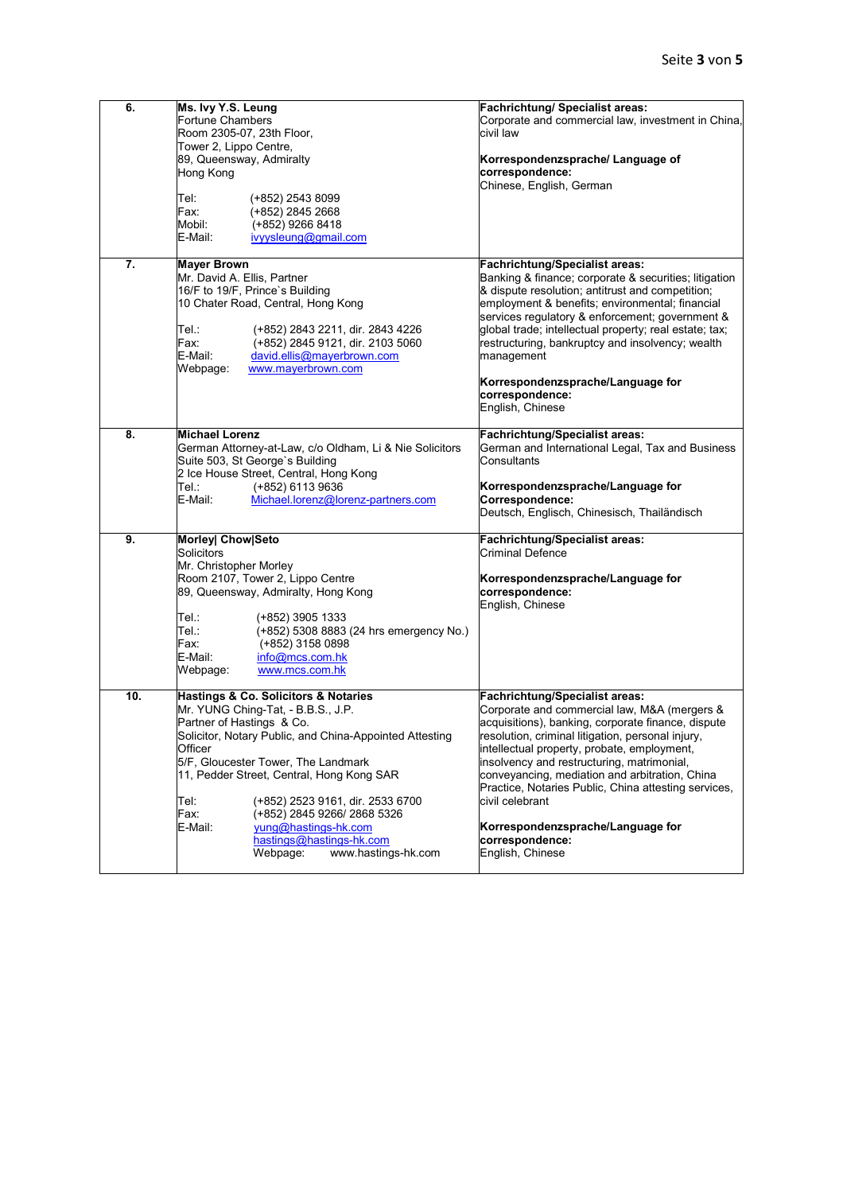| 6.  | Ms. Ivy Y.S. Leung<br>Fortune Chambers<br>Room 2305-07, 23th Floor,<br>Tower 2, Lippo Centre,<br>89, Queensway, Admiralty<br>Hong Kong<br>Tel:<br>(+852) 2543 8099<br>Fax:<br>(+852) 2845 2668<br>Mobil:<br>(+852) 9266 8418<br>E-Mail:<br>ivyysleung@gmail.com                                                                                                                                                                                        | Fachrichtung/ Specialist areas:<br>Corporate and commercial law, investment in China,<br>civil law<br>Korrespondenzsprache/ Language of<br>correspondence:<br>Chinese, English, German                                                                                                                                                                                                                                                                                                                |
|-----|--------------------------------------------------------------------------------------------------------------------------------------------------------------------------------------------------------------------------------------------------------------------------------------------------------------------------------------------------------------------------------------------------------------------------------------------------------|-------------------------------------------------------------------------------------------------------------------------------------------------------------------------------------------------------------------------------------------------------------------------------------------------------------------------------------------------------------------------------------------------------------------------------------------------------------------------------------------------------|
| 7.  | Mayer Brown<br>Mr. David A. Ellis, Partner<br>16/F to 19/F, Prince's Building<br>10 Chater Road, Central, Hong Kong<br>Tel∴<br>(+852) 2843 2211, dir. 2843 4226<br>Fax:<br>(+852) 2845 9121, dir. 2103 5060<br>E-Mail:<br>david.ellis@mayerbrown.com<br>Webpage:<br>www.mayerbrown.com                                                                                                                                                                 | <b>Fachrichtung/Specialist areas:</b><br>Banking & finance; corporate & securities; litigation<br>& dispute resolution; antitrust and competition;<br>employment & benefits; environmental; financial<br>services regulatory & enforcement; government &<br>global trade; intellectual property; real estate; tax;<br>restructuring, bankruptcy and insolvency; wealth<br>management<br>Korrespondenzsprache/Language for<br>correspondence:<br>English, Chinese                                      |
| 8.  | <b>Michael Lorenz</b><br>German Attorney-at-Law, c/o Oldham, Li & Nie Solicitors<br>Suite 503, St George's Building<br>2 Ice House Street, Central, Hong Kong<br>(+852) 6113 9636<br>Tel∴<br>E-Mail:<br>Michael.lorenz@lorenz-partners.com                                                                                                                                                                                                             | <b>Fachrichtung/Specialist areas:</b><br>German and International Legal, Tax and Business<br>Consultants<br>Korrespondenzsprache/Language for<br>Correspondence:<br>Deutsch, Englisch, Chinesisch, Thailändisch                                                                                                                                                                                                                                                                                       |
| 9.  | Morley  Chow Seto<br>Solicitors<br>Mr. Christopher Morley<br>Room 2107, Tower 2, Lippo Centre<br>89, Queensway, Admiralty, Hong Kong<br>Tel∴<br>(+852) 3905 1333<br>Tel.:<br>(+852) 5308 8883 (24 hrs emergency No.)<br>Fax:<br>(+852) 3158 0898<br>E-Mail:<br>info@mcs.com.hk<br>Webpage:<br>www.mcs.com.hk                                                                                                                                           | <b>Fachrichtung/Specialist areas:</b><br><b>Criminal Defence</b><br>Korrespondenzsprache/Language for<br>correspondence:<br>English, Chinese                                                                                                                                                                                                                                                                                                                                                          |
| 10. | Hastings & Co. Solicitors & Notaries<br>Mr. YUNG Ching-Tat, - B.B.S., J.P.<br>Partner of Hastings & Co.<br>Solicitor, Notary Public, and China-Appointed Attesting<br>Officer<br>5/F, Gloucester Tower, The Landmark<br>11, Pedder Street, Central, Hong Kong SAR<br>Tel:<br>(+852) 2523 9161, dir. 2533 6700<br>Fax:<br>(+852) 2845 9266/ 2868 5326<br>E-Mail:<br>yung@hastings-hk.com<br>hastings@hastings-hk.com<br>Webpage:<br>www.hastings-hk.com | <b>Fachrichtung/Specialist areas:</b><br>Corporate and commercial law, M&A (mergers &<br>acquisitions), banking, corporate finance, dispute<br>esolution, criminal litigation, personal injury,<br>intellectual property, probate, employment,<br>insolvency and restructuring, matrimonial,<br>conveyancing, mediation and arbitration, China<br>Practice, Notaries Public, China attesting services,<br>civil celebrant<br>Korrespondenzsprache/Language for<br>correspondence:<br>English, Chinese |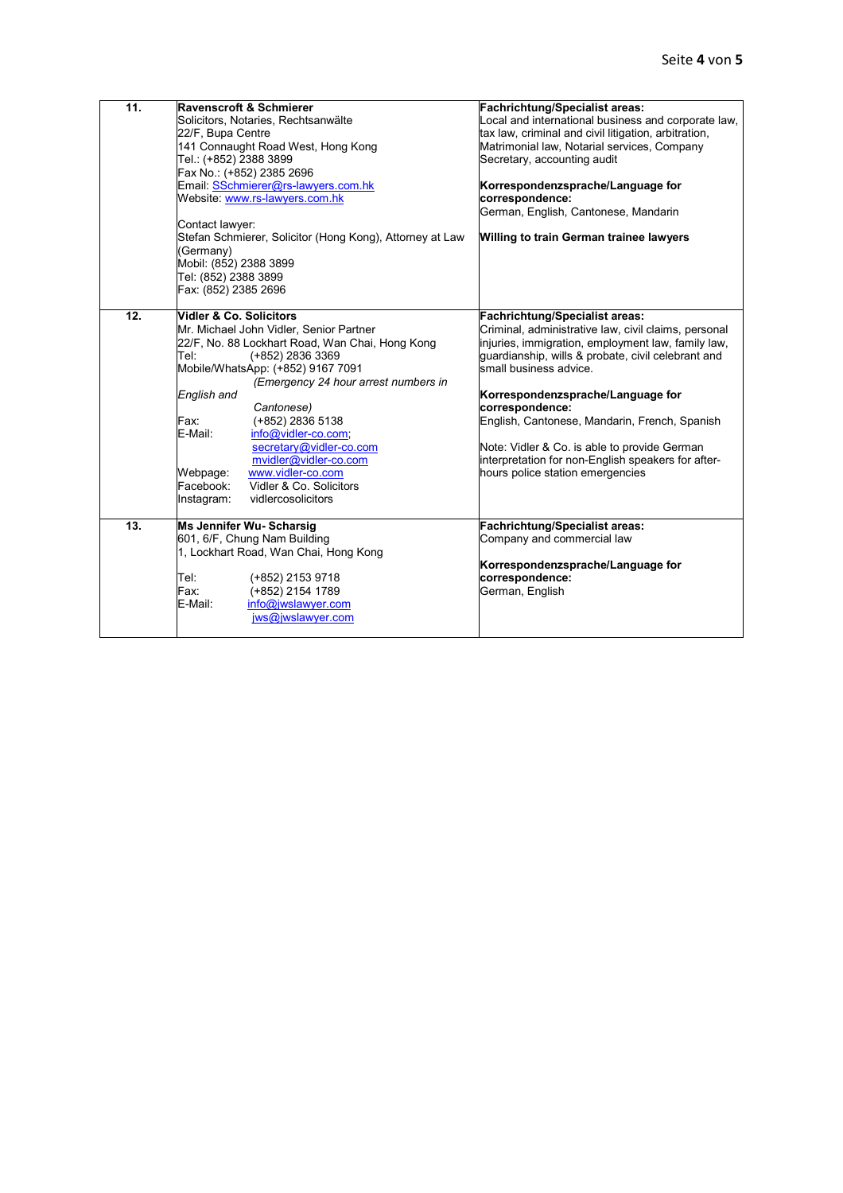| 11.               | <b>Ravenscroft &amp; Schmierer</b><br>Solicitors, Notaries, Rechtsanwälte                                                                                                                                                                                                                                                                                                                                                                                                                             | Fachrichtung/Specialist areas:<br>Local and international business and corporate law,                                                                                                                                                                                                                                                                                                                                                                                                  |
|-------------------|-------------------------------------------------------------------------------------------------------------------------------------------------------------------------------------------------------------------------------------------------------------------------------------------------------------------------------------------------------------------------------------------------------------------------------------------------------------------------------------------------------|----------------------------------------------------------------------------------------------------------------------------------------------------------------------------------------------------------------------------------------------------------------------------------------------------------------------------------------------------------------------------------------------------------------------------------------------------------------------------------------|
|                   | 22/F, Bupa Centre<br>141 Connaught Road West, Hong Kong<br>Tel.: (+852) 2388 3899                                                                                                                                                                                                                                                                                                                                                                                                                     | tax law, criminal and civil litigation, arbitration,<br>Matrimonial law, Notarial services, Company<br>Secretary, accounting audit                                                                                                                                                                                                                                                                                                                                                     |
|                   | Fax No.: (+852) 2385 2696<br>Email: SSchmierer@rs-lawyers.com.hk<br>Website: www.rs-lawyers.com.hk                                                                                                                                                                                                                                                                                                                                                                                                    | Korrespondenzsprache/Language for<br>correspondence:<br>German, English, Cantonese, Mandarin                                                                                                                                                                                                                                                                                                                                                                                           |
|                   | Contact lawyer:<br>Stefan Schmierer, Solicitor (Hong Kong), Attorney at Law<br>(Germany)<br>Mobil: (852) 2388 3899<br>Tel: (852) 2388 3899<br>Fax: (852) 2385 2696                                                                                                                                                                                                                                                                                                                                    | <b>Willing to train German trainee lawyers</b>                                                                                                                                                                                                                                                                                                                                                                                                                                         |
| $\overline{12}$ . | <b>Nidler &amp; Co. Solicitors</b><br>Mr. Michael John Vidler, Senior Partner<br>22/F, No. 88 Lockhart Road, Wan Chai, Hong Kong<br>(+852) 2836 3369<br>Tel:<br>Mobile/WhatsApp: (+852) 9167 7091<br>(Emergency 24 hour arrest numbers in<br>English and<br>Cantonese)<br>Fax:<br>(+852) 2836 5138<br>E-Mail:<br>info@vidler-co.com;<br>secretary@vidler-co.com<br>mvidler@vidler-co.com<br>www.vidler-co.com<br>Webpage:<br>Vidler & Co. Solicitors<br>Facebook:<br>vidlercosolicitors<br>Instagram: | <b>Fachrichtung/Specialist areas:</b><br>Criminal, administrative law, civil claims, personal<br>injuries, immigration, employment law, family law,<br>guardianship, wills & probate, civil celebrant and<br>small business advice.<br>Korrespondenzsprache/Language for<br>correspondence:<br>English, Cantonese, Mandarin, French, Spanish<br>Note: Vidler & Co. is able to provide German<br>interpretation for non-English speakers for after-<br>hours police station emergencies |
| 13.               | Ms Jennifer Wu- Scharsig<br>601, 6/F, Chung Nam Building<br>1, Lockhart Road, Wan Chai, Hong Kong<br>Tel:<br>(+852) 2153 9718<br>(+852) 2154 1789<br>Fax:<br>E-Mail:<br>info@jwslawyer.com<br>jws@jwslawyer.com                                                                                                                                                                                                                                                                                       | <b>Fachrichtung/Specialist areas:</b><br>Company and commercial law<br>Korrespondenzsprache/Language for<br>correspondence:<br>German, English                                                                                                                                                                                                                                                                                                                                         |